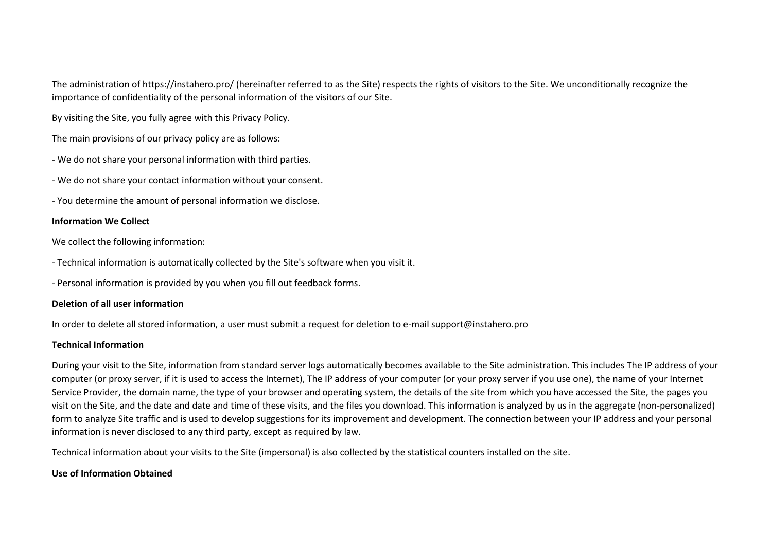The administration of https://instahero.pro/ (hereinafter referred to as the Site) respects the rights of visitors to the Site. We unconditionally recognize the importance of confidentiality of the personal information of the visitors of our Site.

By visiting the Site, you fully agree with this Privacy Policy.

The main provisions of our privacy policy are as follows:

- We do not share your personal information with third parties.
- We do not share your contact information without your consent.
- You determine the amount of personal information we disclose.

### **Information We Collect**

We collect the following information:

- Technical information is automatically collected by the Site's software when you visit it.
- Personal information is provided by you when you fill out feedback forms.

# **Deletion of all user information**

In order to delete all stored information, a user must submit a request for deletion to e-mail support@instahero.pro

# **Technical Information**

During your visit to the Site, information from standard server logs automatically becomes available to the Site administration. This includes The IP address of your computer (or proxy server, if it is used to access the Internet), The IP address of your computer (or your proxy server if you use one), the name of your Internet Service Provider, the domain name, the type of your browser and operating system, the details of the site from which you have accessed the Site, the pages you visit on the Site, and the date and date and time of these visits, and the files you download. This information is analyzed by us in the aggregate (non-personalized) form to analyze Site traffic and is used to develop suggestions for its improvement and development. The connection between your IP address and your personal information is never disclosed to any third party, except as required by law.

Technical information about your visits to the Site (impersonal) is also collected by the statistical counters installed on the site.

# **Use of Information Obtained**